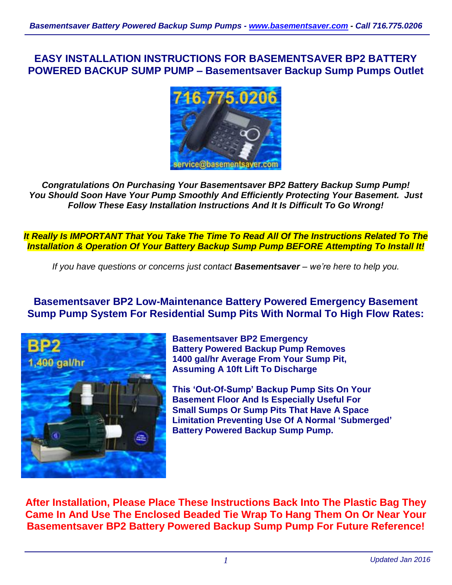# **EASY INSTALLATION INSTRUCTIONS FOR BASEMENTSAVER BP2 BATTERY POWERED BACKUP SUMP PUMP – Basementsaver Backup Sump Pumps Outlet**



*Congratulations On Purchasing Your Basementsaver BP2 Battery Backup Sump Pump! You Should Soon Have Your Pump Smoothly And Efficiently Protecting Your Basement. Just Follow These Easy Installation Instructions And It Is Difficult To Go Wrong!*

*It Really Is IMPORTANT That You Take The Time To Read All Of The Instructions Related To The Installation & Operation Of Your Battery Backup Sump Pump BEFORE Attempting To Install It!*

*If you have questions or concerns just contact Basementsaver – we're here to help you.*

# **Basementsaver BP2 Low-Maintenance Battery Powered Emergency Basement Sump Pump System For Residential Sump Pits With Normal To High Flow Rates:**



**Basementsaver BP2 Emergency Battery Powered Backup Pump Removes 1400 gal/hr Average From Your Sump Pit, Assuming A 10ft Lift To Discharge**

**This 'Out-Of-Sump' Backup Pump Sits On Your Basement Floor And Is Especially Useful For Small Sumps Or Sump Pits That Have A Space Limitation Preventing Use Of A Normal 'Submerged' Battery Powered Backup Sump Pump.**

**After Installation, Please Place These Instructions Back Into The Plastic Bag They Came In And Use The Enclosed Beaded Tie Wrap To Hang Them On Or Near Your Basementsaver BP2 Battery Powered Backup Sump Pump For Future Reference!**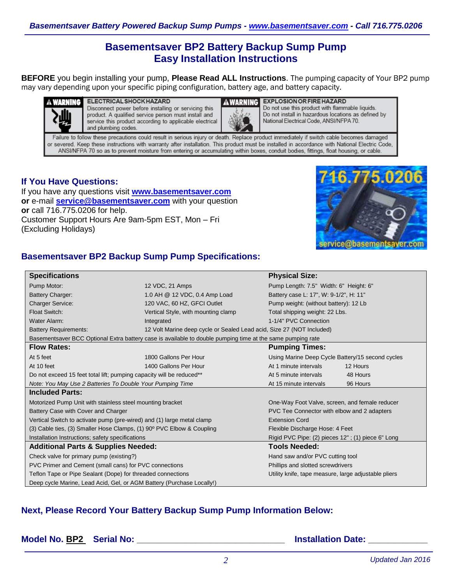# **Basementsaver BP2 Battery Backup Sump Pump Easy Installation Instructions**

**BEFORE** you begin installing your pump, **Please Read ALL Instructions**. The pumping capacity of Your BP2 pump may vary depending upon your specific piping configuration, battery age, and battery capacity.



WARNING ELECTRICAL SHOCK HAZARD Disconnect power before installing or servicing this product. A qualified service person must install and service this product according to applicable electrical and plumbing codes.



**AWARNING EXPLOSION OR FIRE HAZARD** Do not use this product with flammable liquids. Do not install in hazardous locations as defined by National Electrical Code, ANSI/NFPA 70.

Failure to follow these precautions could result in serious injury or death. Replace product immediately if switch cable becomes damaged or severed. Keep these instructions with warranty after installation. This product must be installed in accordance with National Electric Code, ANSI/NFPA 70 so as to prevent moisture from entering or accumulating within boxes, conduit bodies, fittings, float housing, or cable.

### **If You Have Questions:**

If you have any questions visit **[www.basementsaver.com](http://www.basementsaver.com/) or** e-mail **[service@basementsaver.com](mailto:service@basementsaver.com)** with your question **or** call 716.775.0206 for help. Customer Support Hours Are 9am-5pm EST, Mon – Fri (Excluding Holidays)



# **Basementsaver BP2 Backup Sump Pump Specifications:**

| <b>Specifications</b>                                                                                      |                                                                       | <b>Physical Size:</b>                                |  |
|------------------------------------------------------------------------------------------------------------|-----------------------------------------------------------------------|------------------------------------------------------|--|
| Pump Motor:                                                                                                | 12 VDC, 21 Amps                                                       | Pump Length: 7.5" Width: 6" Height: 6"               |  |
| <b>Battery Charger:</b>                                                                                    | 1.0 AH @ 12 VDC, 0.4 Amp Load                                         | Battery case L: 17", W: 9-1/2", H: 11"               |  |
| <b>Charger Service:</b>                                                                                    | 120 VAC, 60 HZ, GFCI Outlet                                           | Pump weight: (without battery): 12 Lb                |  |
| Float Switch:                                                                                              | Vertical Style, with mounting clamp                                   | Total shipping weight: 22 Lbs.                       |  |
| Water Alarm:                                                                                               | Integrated                                                            | 1-1/4" PVC Connection                                |  |
| <b>Battery Requirements:</b>                                                                               | 12 Volt Marine deep cycle or Sealed Lead acid, Size 27 (NOT Included) |                                                      |  |
| Basementsaver BCC Optional Extra battery case is available to double pumping time at the same pumping rate |                                                                       |                                                      |  |
| <b>Flow Rates:</b>                                                                                         |                                                                       | <b>Pumping Times:</b>                                |  |
| At 5 feet                                                                                                  | 1800 Gallons Per Hour                                                 | Using Marine Deep Cycle Battery/15 second cycles     |  |
| At 10 feet                                                                                                 | 1400 Gallons Per Hour                                                 | At 1 minute intervals<br>12 Hours                    |  |
| Do not exceed 15 feet total lift; pumping capacity will be reduced**                                       |                                                                       | At 5 minute intervals<br>48 Hours                    |  |
| Note: You May Use 2 Batteries To Double Your Pumping Time                                                  |                                                                       | At 15 minute intervals<br>96 Hours                   |  |
| <b>Included Parts:</b>                                                                                     |                                                                       |                                                      |  |
| Motorized Pump Unit with stainless steel mounting bracket                                                  |                                                                       | One-Way Foot Valve, screen, and female reducer       |  |
| Battery Case with Cover and Charger                                                                        |                                                                       | PVC Tee Connector with elbow and 2 adapters          |  |
| Vertical Switch to activate pump (pre-wired) and (1) large metal clamp                                     |                                                                       | <b>Extension Cord</b>                                |  |
| (3) Cable ties, (3) Smaller Hose Clamps, (1) 90° PVC Elbow & Coupling                                      |                                                                       | Flexible Discharge Hose: 4 Feet                      |  |
| Installation Instructions; safety specifications                                                           |                                                                       | Rigid PVC Pipe: (2) pieces 12"; (1) piece 6" Long    |  |
| <b>Additional Parts &amp; Supplies Needed:</b>                                                             |                                                                       | <b>Tools Needed:</b>                                 |  |
| Check valve for primary pump (existing?)                                                                   |                                                                       | Hand saw and/or PVC cutting tool                     |  |
| PVC Primer and Cement (small cans) for PVC connections                                                     |                                                                       | Phillips and slotted screwdrivers                    |  |
| Teflon Tape or Pipe Sealant (Dope) for threaded connections                                                |                                                                       | Utility knife, tape measure, large adjustable pliers |  |
| Deep cycle Marine, Lead Acid, Gel, or AGM Battery (Purchase Locally!)                                      |                                                                       |                                                      |  |

# **Next, Please Record Your Battery Backup Sump Pump Information Below:**

**Model No. BP2 Serial No: \_\_\_\_\_\_\_\_\_\_\_\_\_\_\_\_\_\_\_\_\_\_\_\_\_\_\_\_\_\_ Installation Date: \_\_\_\_\_\_\_\_\_\_\_\_**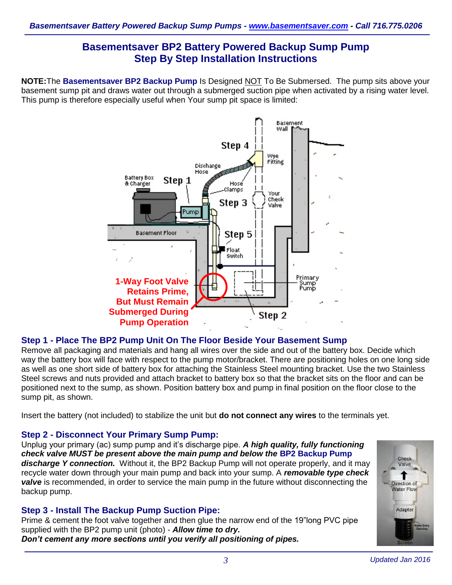# **Basementsaver BP2 Battery Powered Backup Sump Pump Step By Step Installation Instructions**

**NOTE:**The **Basementsaver BP2 Backup Pump** Is Designed NOT To Be Submersed. The pump sits above your basement sump pit and draws water out through a submerged suction pipe when activated by a rising water level. This pump is therefore especially useful when Your sump pit space is limited:



# **Step 1 - Place The BP2 Pump Unit On The Floor Beside Your Basement Sump**

Remove all packaging and materials and hang all wires over the side and out of the battery box. Decide which way the battery box will face with respect to the pump motor/bracket. There are positioning holes on one long side as well as one short side of battery box for attaching the Stainless Steel mounting bracket. Use the two Stainless Steel screws and nuts provided and attach bracket to battery box so that the bracket sits on the floor and can be positioned next to the sump, as shown. Position battery box and pump in final position on the floor close to the sump pit, as shown.

Insert the battery (not included) to stabilize the unit but **do not connect any wires** to the terminals yet.

### **Step 2 - Disconnect Your Primary Sump Pump:**

Unplug your primary (ac) sump pump and it's discharge pipe. *A high quality, fully functioning check valve MUST be present above the main pump and below the* **BP2 Backup Pump** discharge Y connection. Without it, the BP2 Backup Pump will not operate properly, and it may recycle water down through your main pump and back into your sump. A *removable type check valve* is recommended, in order to service the main pump in the future without disconnecting the backup pump.

### **Step 3 - Install The Backup Pump Suction Pipe:**

Prime & cement the foot valve together and then glue the narrow end of the 19"long PVC pipe supplied with the BP2 pump unit (photo) - *Allow time to dry. Don't cement any more sections until you verify all positioning of pipes.*

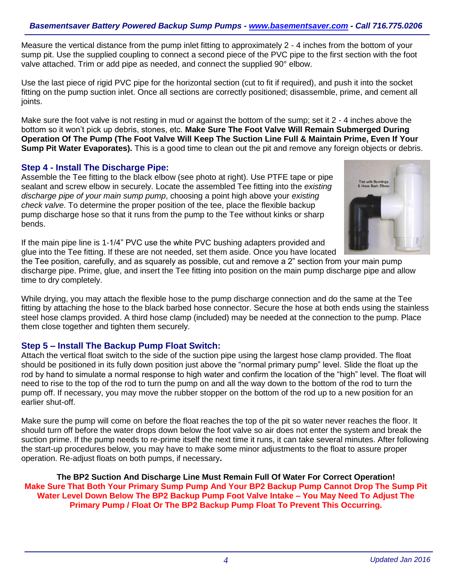Measure the vertical distance from the pump inlet fitting to approximately 2 - 4 inches from the bottom of your sump pit. Use the supplied coupling to connect a second piece of the PVC pipe to the first section with the foot valve attached. Trim or add pipe as needed, and connect the supplied 90° elbow.

Use the last piece of rigid PVC pipe for the horizontal section (cut to fit if required), and push it into the socket fitting on the pump suction inlet. Once all sections are correctly positioned; disassemble, prime, and cement all joints.

Make sure the foot valve is not resting in mud or against the bottom of the sump; set it 2 - 4 inches above the bottom so it won't pick up debris, stones, etc. **Make Sure The Foot Valve Will Remain Submerged During Operation Of The Pump (The Foot Valve Will Keep The Suction Line Full & Maintain Prime, Even If Your Sump Pit Water Evaporates).** This is a good time to clean out the pit and remove any foreign objects or debris.

### **Step 4 - Install The Discharge Pipe:**

Assemble the Tee fitting to the black elbow (see photo at right). Use PTFE tape or pipe sealant and screw elbow in securely. Locate the assembled Tee fitting into the *existing discharge pipe of your main sump pump*, choosing a point high above your *existing check valve*. To determine the proper position of the tee, place the flexible backup pump discharge hose so that it runs from the pump to the Tee without kinks or sharp bends.



If the main pipe line is 1-1/4" PVC use the white PVC bushing adapters provided and glue into the Tee fitting. If these are not needed, set them aside. Once you have located

the Tee position, carefully, and as squarely as possible, cut and remove a 2" section from your main pump discharge pipe. Prime, glue, and insert the Tee fitting into position on the main pump discharge pipe and allow time to dry completely.

While drying, you may attach the flexible hose to the pump discharge connection and do the same at the Tee fitting by attaching the hose to the black barbed hose connector. Secure the hose at both ends using the stainless steel hose clamps provided. A third hose clamp (included) may be needed at the connection to the pump. Place them close together and tighten them securely.

### **Step 5 – Install The Backup Pump Float Switch:**

Attach the vertical float switch to the side of the suction pipe using the largest hose clamp provided. The float should be positioned in its fully down position just above the "normal primary pump" level. Slide the float up the rod by hand to simulate a normal response to high water and confirm the location of the "high" level. The float will need to rise to the top of the rod to turn the pump on and all the way down to the bottom of the rod to turn the pump off. If necessary, you may move the rubber stopper on the bottom of the rod up to a new position for an earlier shut-off.

Make sure the pump will come on before the float reaches the top of the pit so water never reaches the floor. It should turn off before the water drops down below the foot valve so air does not enter the system and break the suction prime. If the pump needs to re-prime itself the next time it runs, it can take several minutes. After following the start-up procedures below, you may have to make some minor adjustments to the float to assure proper operation. Re-adjust floats on both pumps, if necessary**.**

**The BP2 Suction And Discharge Line Must Remain Full Of Water For Correct Operation! Make Sure That Both Your Primary Sump Pump And Your BP2 Backup Pump Cannot Drop The Sump Pit Water Level Down Below The BP2 Backup Pump Foot Valve Intake – You May Need To Adjust The Primary Pump / Float Or The BP2 Backup Pump Float To Prevent This Occurring.**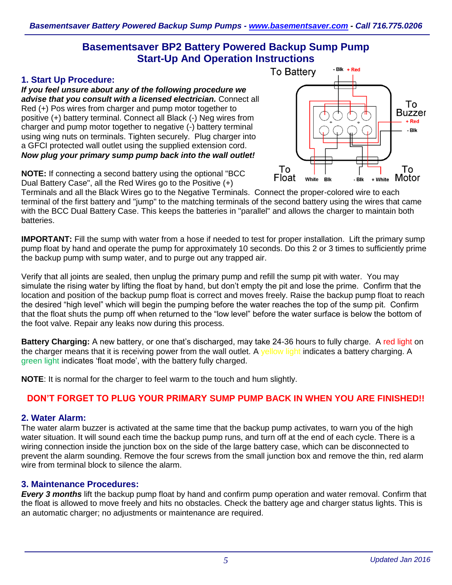# **Basementsaver BP2 Battery Powered Backup Sump Pump Start-Up And Operation Instructions**

### **1. Start Up Procedure:**

*If you feel unsure about any of the following procedure we advise that you consult with a licensed electrician.* Connect all Red (+) Pos wires from charger and pump motor together to positive (+) battery terminal. Connect all Black (-) Neg wires from charger and pump motor together to negative (-) battery terminal using wing nuts on terminals. Tighten securely. Plug charger into a GFCI protected wall outlet using the supplied extension cord. *Now plug your primary sump pump back into the wall outlet!*



**NOTE:** If connecting a second battery using the optional "BCC Dual Battery Case", all the Red Wires go to the Positive (+)

Terminals and all the Black Wires go to the Negative Terminals. Connect the proper-colored wire to each terminal of the first battery and "jump" to the matching terminals of the second battery using the wires that came with the BCC Dual Battery Case. This keeps the batteries in "parallel" and allows the charger to maintain both batteries.

**IMPORTANT:** Fill the sump with water from a hose if needed to test for proper installation. Lift the primary sump pump float by hand and operate the pump for approximately 10 seconds. Do this 2 or 3 times to sufficiently prime the backup pump with sump water, and to purge out any trapped air.

Verify that all joints are sealed, then unplug the primary pump and refill the sump pit with water. You may simulate the rising water by lifting the float by hand, but don't empty the pit and lose the prime. Confirm that the location and position of the backup pump float is correct and moves freely. Raise the backup pump float to reach the desired "high level" which will begin the pumping before the water reaches the top of the sump pit. Confirm that the float shuts the pump off when returned to the "low level" before the water surface is below the bottom of the foot valve. Repair any leaks now during this process.

**Battery Charging:** A new battery, or one that's discharged, may take 24-36 hours to fully charge. A red light on the charger means that it is receiving power from the wall outlet. A vellow light indicates a battery charging. A green light indicates 'float mode', with the battery fully charged.

**NOTE**: It is normal for the charger to feel warm to the touch and hum slightly.

# **DON'T FORGET TO PLUG YOUR PRIMARY SUMP PUMP BACK IN WHEN YOU ARE FINISHED!!**

# **2. Water Alarm:**

The water alarm buzzer is activated at the same time that the backup pump activates, to warn you of the high water situation. It will sound each time the backup pump runs, and turn off at the end of each cycle. There is a wiring connection inside the junction box on the side of the large battery case, which can be disconnected to prevent the alarm sounding. Remove the four screws from the small junction box and remove the thin, red alarm wire from terminal block to silence the alarm.

# **3. Maintenance Procedures:**

*Every 3 months* lift the backup pump float by hand and confirm pump operation and water removal. Confirm that the float is allowed to move freely and hits no obstacles. Check the battery age and charger status lights. This is an automatic charger; no adjustments or maintenance are required.